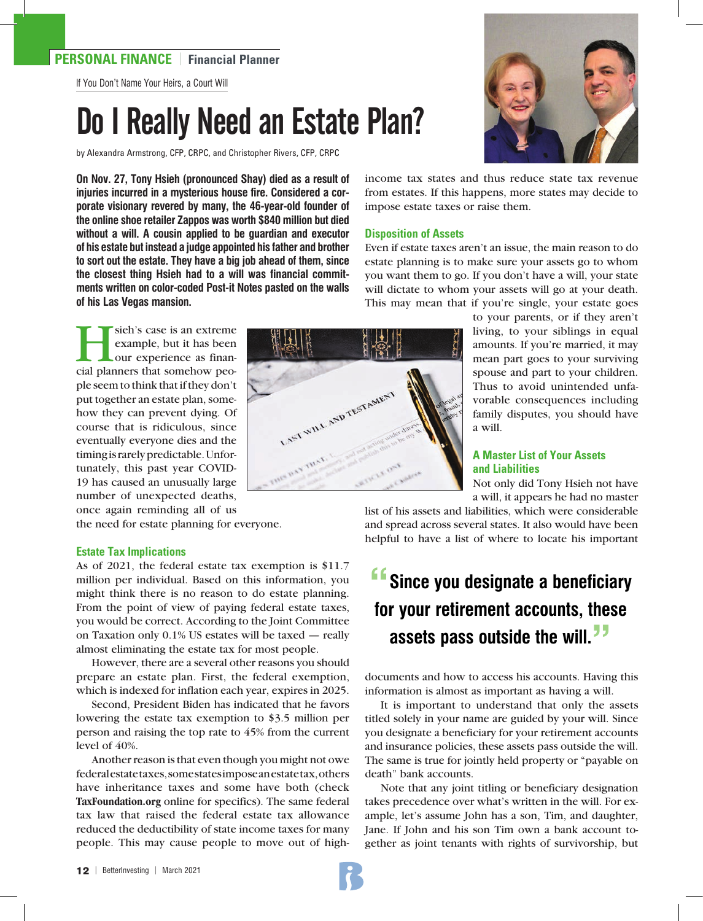### **PERSONAL FINANCE** | **Financial Planner**

If You Don't Name Your Heirs, a Court Will

# Do I Really Need an Estate Plan?

by Alexandra Armstrong, CFP, CRPC, and Christopher Rivers, CFP, CRPC

**On Nov. 27, Tony Hsieh (pronounced Shay) died as a result of injuries incurred in a mysterious house fire. Considered a corporate visionary revered by many, the 46-year-old founder of the online shoe retailer Zappos was worth \$840 million but died without a will. A cousin applied to be guardian and executor of his estate but instead a judge appointed his father and brother to sort out the estate. They have a big job ahead of them, since the closest thing Hsieh had to a will was financial commitments written on color-coded Post-it Notes pasted on the walls of his Las Vegas mansion.** 

sieh's case is an extreme<br>
example, but it has been<br>
our experience as finan-<br>
cial planners that somehow peoexample, but it has been our experience as financial planners that somehow people seem to think that if they don't put together an estate plan, somehow they can prevent dying. Of course that is ridiculous, since eventually everyone dies and the timing is rarely predictable. Unfortunately, this past year COVID-19 has caused an unusually large number of unexpected deaths, once again reminding all of us

the need for estate planning for everyone.

#### **Estate Tax Implications**

As of 2021, the federal estate tax exemption is \$11.7 million per individual. Based on this information, you might think there is no reason to do estate planning. From the point of view of paying federal estate taxes, you would be correct. According to the Joint Committee on Taxation only 0.1% US estates will be taxed — really almost eliminating the estate tax for most people.

However, there are a several other reasons you should prepare an estate plan. First, the federal exemption, which is indexed for inflation each year, expires in 2025.

Second, President Biden has indicated that he favors lowering the estate tax exemption to \$3.5 million per person and raising the top rate to 45% from the current level of 40%.

Another reason is that even though you might not owe federal estate taxes, some states impose an estate tax, others have inheritance taxes and some have both (check **TaxFoundation.org** online for specifics). The same federal tax law that raised the federal estate tax allowance reduced the deductibility of state income taxes for many people. This may cause people to move out of high-

LAST WILL AND TESTAMENT

income tax states and thus reduce state tax revenue from estates. If this happens, more states may decide to impose estate taxes or raise them.

#### **Disposition of Assets**

Even if estate taxes aren't an issue, the main reason to do estate planning is to make sure your assets go to whom you want them to go. If you don't have a will, your state will dictate to whom your assets will go at your death. This may mean that if you're single, your estate goes

> to your parents, or if they aren't living, to your siblings in equal amounts. If you're married, it may mean part goes to your surviving spouse and part to your children. Thus to avoid unintended unfavorable consequences including family disputes, you should have a will.

#### **A Master List of Your Assets and Liabilities**

Not only did Tony Hsieh not have a will, it appears he had no master

list of his assets and liabilities, which were considerable and spread across several states. It also would have been helpful to have a list of where to locate his important

## **"Since you designate a beneficiary for your retirement accounts, these assets pass outside the will."**

documents and how to access his accounts. Having this information is almost as important as having a will.

It is important to understand that only the assets titled solely in your name are guided by your will. Since you designate a beneficiary for your retirement accounts and insurance policies, these assets pass outside the will. The same is true for jointly held property or "payable on death" bank accounts.

Note that any joint titling or beneficiary designation takes precedence over what's written in the will. For example, let's assume John has a son, Tim, and daughter, Jane. If John and his son Tim own a bank account together as joint tenants with rights of survivorship, but